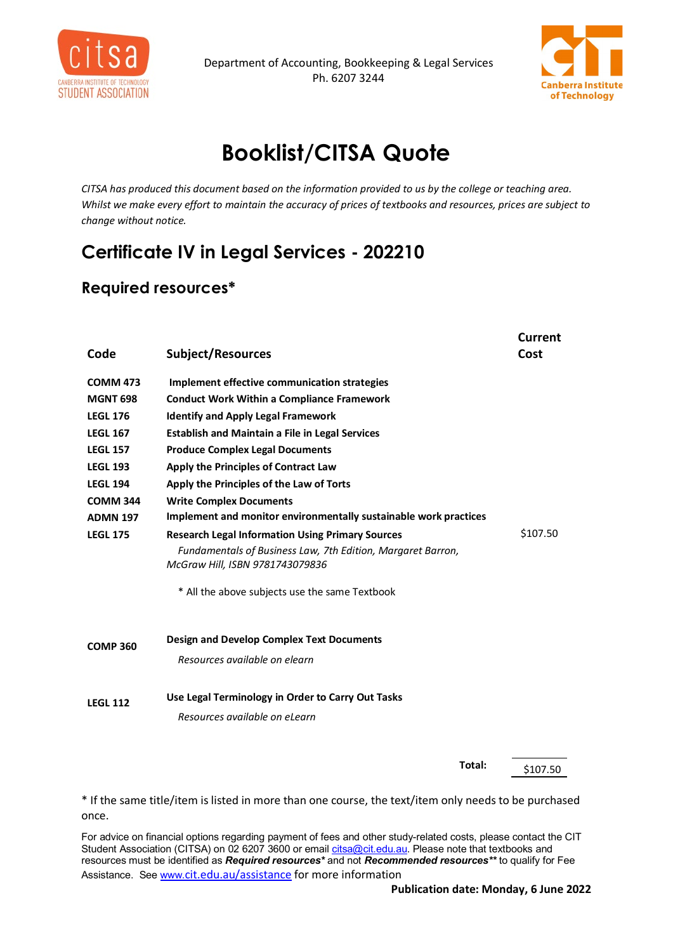



## **Booklist/CITSA Quote**

*CITSA has produced this document based on the information provided to us by the college or teaching area. Whilst we make every effort to maintain the accuracy of prices of textbooks and resources, prices are subject to change without notice.*

## **Certificate IV in Legal Services - 202210**

## **Required resources\***

| Code            | <b>Subject/Resources</b>                                                                                                                                  | <b>Current</b><br>Cost |
|-----------------|-----------------------------------------------------------------------------------------------------------------------------------------------------------|------------------------|
| <b>COMM 473</b> | Implement effective communication strategies                                                                                                              |                        |
| <b>MGNT 698</b> | <b>Conduct Work Within a Compliance Framework</b>                                                                                                         |                        |
| <b>LEGL 176</b> | <b>Identify and Apply Legal Framework</b>                                                                                                                 |                        |
| <b>LEGL 167</b> | <b>Establish and Maintain a File in Legal Services</b>                                                                                                    |                        |
| <b>LEGL 157</b> | <b>Produce Complex Legal Documents</b>                                                                                                                    |                        |
| <b>LEGL 193</b> | Apply the Principles of Contract Law                                                                                                                      |                        |
| <b>LEGL 194</b> | Apply the Principles of the Law of Torts                                                                                                                  |                        |
| <b>COMM 344</b> | <b>Write Complex Documents</b>                                                                                                                            |                        |
| <b>ADMN 197</b> | Implement and monitor environmentally sustainable work practices                                                                                          |                        |
| <b>LEGL 175</b> | <b>Research Legal Information Using Primary Sources</b><br>Fundamentals of Business Law, 7th Edition, Margaret Barron,<br>McGraw Hill, ISBN 9781743079836 | \$107.50               |
|                 | * All the above subjects use the same Textbook                                                                                                            |                        |
| <b>COMP 360</b> | <b>Design and Develop Complex Text Documents</b>                                                                                                          |                        |
|                 | Resources available on elearn                                                                                                                             |                        |
| <b>LEGL 112</b> | Use Legal Terminology in Order to Carry Out Tasks                                                                                                         |                        |
|                 | Resources available on el earn                                                                                                                            |                        |
|                 |                                                                                                                                                           |                        |

**Total:** \$107.50

\* If the same title/item is listed in more than one course, the text/item only needs to be purchased once.

For advice on financial options regarding payment of fees and other study-related costs, please contact the CIT Student Association (CITSA) on 02 6207 3600 or emai[l citsa@cit.edu.au.](mailto:citsa@cit.edu.au) Please note that textbooks and resources must be identified as *Required resources\** and not *Recommended resources\*\** to qualify for Fee Assistance. Se[e www.](http://www.cit.edu.au/assistance)[cit.edu.au/assistance](http://www.cit.edu.au/assistance) for more information

**Publication date: Monday, 6 June 2022**